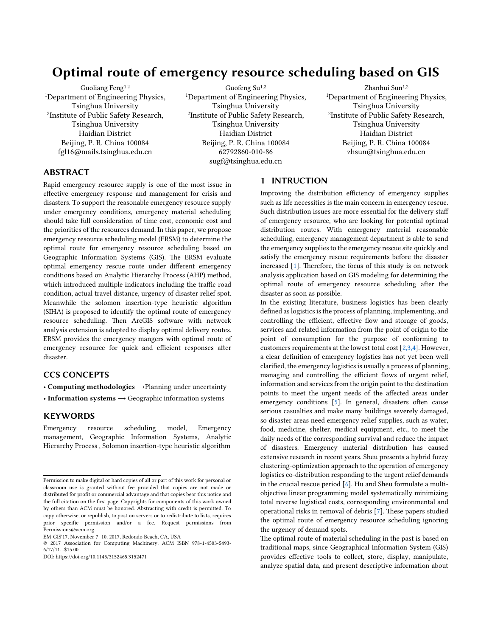# Optimal route of emergency resource scheduling based on GIS

Guoliang Feng1,2 <sup>1</sup>Department of Engineering Physics, Tsinghua University 2 Institute of Public Safety Research, Tsinghua University Haidian District Beijing, P. R. China 100084 [fgl16@mails.tsinghua.edu.cn](mailto:fgl16@mails.tsinghua.edu.cn)

Guofeng Su 1,2 <sup>1</sup>Department of Engineering Physics, Tsinghua University 2 Institute of Public Safety Research, Tsinghua University Haidian District Beijing, P. R. China 100084 62792860-010-86 [sugf@tsinghua.edu.cn](mailto:sugf@tsinghua.edu.cn)

Zhanhui Sun<sup>1,2</sup> <sup>1</sup>Department of Engineering Physics, Tsinghua University 2 Institute of Public Safety Research, Tsinghua University Haidian District Beijing, P. R. China 100084 zhsun@tsinghua.edu.cn

## ABSTRACT

Rapid emergency resource supply is one of the most issue in effective emergency response and management for crisis and disasters. To support the reasonable emergency resource supply under emergency conditions, emergency material scheduling should take full consideration of time cost, economic cost and the priorities of the resources demand. In this paper, we propose emergency resource scheduling model (ERSM) to determine the optimal route for emergency resource scheduling based on Geographic Information Systems (GIS). The ERSM evaluate optimal emergency rescue route under different emergency conditions based on Analytic Hierarchy Process (AHP) method, which introduced multiple indicators including the traffic road condition, actual travel distance, urgency of disaster relief spot. Meanwhile the solomon insertion-type heuristic algorithm (SIHA) is proposed to identify the optimal route of emergency resource scheduling. Then ArcGIS software with network analysis extension is adopted to display optimal delivery routes. ERSM provides the emergency mangers with optimal route of emergency resource for quick and efficient responses after disaster.

# CCS CONCEPTS

• Computing methodologies →Planning under uncertainty

• Information systems  $\rightarrow$  Geographic information systems

## **KEYWORDS**

Emergency resource scheduling model, Emergency management, Geographic Information Systems, Analytic Hierarchy Process , Solomon insertion-type heuristic algorithm

#### 1 INTRUCTION

Improving the distribution efficiency of emergency supplies such as life necessities is the main concern in emergency rescue. Such distribution issues are more essential for the delivery staff of emergency resource, who are looking for potential optimal distribution routes. With emergency material reasonable scheduling, emergency management department is able to send the emergency supplies to the emergency rescue site quickly and satisfy the emergency rescue requirements before the disaster increased [\[1\]](#page-4-0). Therefore, the focus of this study is on network analysis application based on GIS modeling for determining the optimal route of emergency resource scheduling after the disaster as soon as possible.

In the existing literature, business logistics has been clearly defined as logistics is the process of planning, implementing, and controlling the efficient, effective flow and storage of goods, services and related information from the point of origin to the point of consumption for the purpose of conforming to customers requirements at the lowest total cost [2,3,4]. However, a clear definition of emergency logistics has not yet been well clarified, the emergency logistics is usually a process of planning, managing and controlling the efficient flows of urgent relief, information and services from the origin point to the destination points to meet the urgent needs of the affected areas under emergency conditions [5]. In general, disasters often cause serious casualties and make many buildings severely damaged, so disaster areas need emergency relief supplies, such as water, food, medicine, shelter, medical equipment, etc., to meet the daily needs of the corresponding survival and reduce the impact of disasters. Emergency material distribution has caused extensive research in recent years. Sheu presents a hybrid fuzzy clustering-optimization approach to the operation of emergency logistics co-distribution responding to the urgent relief demands in the crucial rescue period [6]. Hu and Sheu formulate a multiobjective linear programming model systematically minimizing total reverse logistical costs, corresponding environmental and operational risks in removal of debris [7]. These papers studied the optimal route of emergency resource scheduling ignoring the urgency of demand spots.

The optimal route of material scheduling in the past is based on traditional maps, since Geographical Information System (GIS) provides effective tools to collect, store, display, manipulate, analyze spatial data, and present descriptive information about

Permission to make digital or hard copies of all or part of this work for personal or classroom use is granted without fee provided that copies are not made or distributed for profit or commercial advantage and that copies bear this notice and the full citation on the first page. Copyrights for components of this work owned by others than ACM must be honored. Abstracting with credit is permitted. To copy otherwise, or republish, to post on servers or to redistribute to lists, requires prior specific permission and/or a fee. Request permissions from Permissions@acm.org.

EM-GIS'17, November 7–10, 2017, Redondo Beach, CA, USA

<sup>© 2017</sup> Association for Computing Machinery. ACM ISBN 978-1-4503-5493- 6/17/11…\$15.00

DOI: https://doi.org/10.1145/3152465.3152471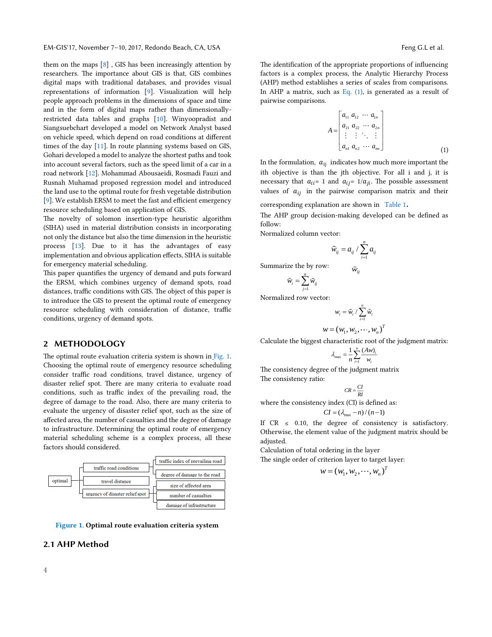them on the maps [8] , GIS has been increasingly attention by researchers. The importance about GIS is that, GIS combines digital maps with traditional databases, and provides visual representations of information [\[9\]](#page-4-1). Visualization will help people approach problems in the dimensions of space and time and in the form of digital maps rather than dimensionallyrestricted data tables and graphs [\[10\]](#page-4-2). Winyoopradist and Siangsuebchart developed a model on Network Analyst based on vehicle speed, which depend on road conditions at different times of the day [\[11\]](#page-4-3). In route planning systems based on GIS, Gohari developed a model to analyze the shortest paths and took into account several factors, such as the speed limit of a car in a road network [\[12\]](#page-4-4). Mohammad Abousaeidi, Rosmadi Fauzi and Rusnah Muhamad proposed regression model and introduced the land use to the optimal route for fresh vegetable distribution [\[9\]](#page-4-1). We establish ERSM to meet the fast and efficient emergency resource scheduling based on application of GIS.

The novelty of solomon insertion-type heuristic algorithm (SIHA) used in material distribution consists in incorporating not only the distance but also the time dimension in the heuristic process [\[13\]](#page-4-5). Due to it has the advantages of easy implementation and obvious application effects, SIHA is suitable for emergency material scheduling.

This paper quantifies the urgency of demand and puts forward the ERSM, which combines urgency of demand spots, road distances, traffic conditions with GIS. The object of this paper is to introduce the GIS to present the optimal route of emergency resource scheduling with consideration of distance, traffic conditions, urgency of demand spots.

## 2 METHODOLOGY

The optimal route evaluation criteria system is shown in [Fig.](#page-1-0) 1. Choosing the optimal route of emergency resource scheduling consider traffic road conditions, travel distance, urgency of disaster relief spot. There are many criteria to evaluate road conditions, such as traffic index of the prevailing road, the degree of damage to the road. Also, there are many criteria to evaluate the urgency of disaster relief spot, such as the size of affected area, the number of casualties and the degree of damage to infrastructure. Determining the optimal route of emergency material scheduling scheme is a complex process, all these factors should considered.



<span id="page-1-0"></span>Figure 1. Optimal route evaluation criteria system

## 2.1 AHP Method

The identification of the appropriate proportions of influencing factors is a complex process, the Analytic Hierarchy Process (AHP) method establishes a series of scales from comparisons. In AHP a matrix, such as Eq.  $(1)$ , is generated as a result of pairwise comparisons.

<span id="page-1-1"></span>
$$
A = \begin{bmatrix} a_{11} & a_{12} & \cdots & a_{1n} \\ a_{21} & a_{22} & \cdots & a_{2n} \\ \vdots & \vdots & \ddots & \vdots \\ a_{n1} & a_{n2} & \cdots & a_{nn} \end{bmatrix}
$$
 (1)

In the formulation,  $a_{ij}$  indicates how much more important the ith objective is than the jth objective. For all i and j, it is necessary that  $a_{ii}$  = 1 and  $a_{ii}$  = 1/ $a_{ii}$ . The possible assessment values of  $a_{ij}$  in the pairwise comparison matrix and their

corresponding explanation are shown in [Table 1](#page-1-2).

The AHP group decision-making developed can be defined as follow:

Normalized column vector:

$$
\widetilde{w}_{ij} = a_{ij} / \sum_{i=1}^{n} a_{ij}
$$

 $\tilde{w}_{\scriptscriptstyle{ii}}$ 

Summarize the by row:

$$
\tilde{w}_{_i}=\sum_{j=1}^n \tilde{w}_{_{ij}}
$$

Normalized row vector:

$$
w_i = \tilde{w}_i / \sum_{i=1}^n \tilde{w}_i
$$
  

$$
w = (w_1, w_2, \dots, w_n)^T
$$

Calculate the biggest characteristic root of the judgment matrix:

$$
\lambda_{\max} = \frac{1}{n} \sum_{i=1}^{n} \frac{(Aw)_i}{w_i}
$$

The consistency degree of the judgment matrix The consistency ratio:

$$
CR = \frac{CI}{RI}
$$

where the consistency index (CI) is defined as:

$$
CI = (\lambda_{\text{max}} - n) / (n - 1)
$$

If  $CR \leq 0.10$ , the degree of consistency is satisfactory. Otherwise, the element value of the judgment matrix should be adjusted.

Calculation of total ordering in the layer

<span id="page-1-2"></span>The single order of criterion layer to target layer:

$$
w = (w_1, w_2, \cdots, w_n)^T
$$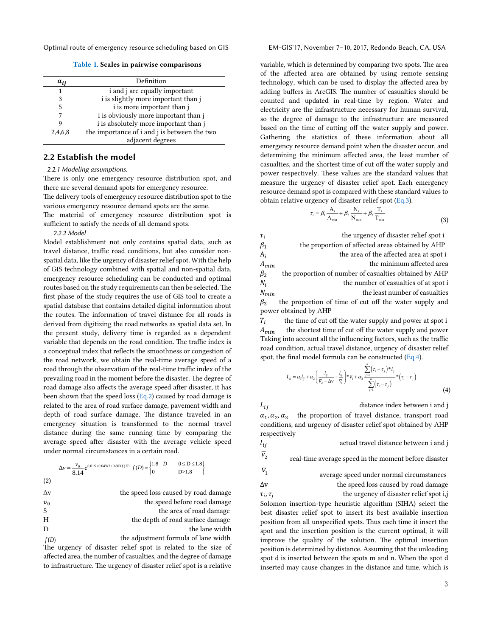Optimal route of emergency resource scheduling based on GIS EM-GIS'17, November 7-10, 2017, Redondo Beach, CA, USA

Table 1. Scales in pairwise comparisons

| $a_{ii}$ | Definition                                   |  |
|----------|----------------------------------------------|--|
|          | i and j are equally important                |  |
| 3        | i is slightly more important than j          |  |
| 5        | i is more important than j                   |  |
|          | i is obviously more important than j         |  |
|          | i is absolutely more important than j        |  |
| 2,4,6,8  | the importance of i and j is between the two |  |
|          | adjacent degrees                             |  |

#### 2.2 Establish the model

#### *2.2.1 Modeling assumptions.*

There is only one emergency resource distribution spot, and there are several demand spots for emergency resource. The delivery tools of emergency resource distribution spot to the various emergency resource demand spots are the same. The material of emergency resource distribution spot is sufficient to satisfy the needs of all demand spots.

#### *2.2.2 Model*

Model establishment not only contains spatial data, such as travel distance, traffic road conditions, but also consider nonspatial data, like the urgency of disaster relief spot. With the help of GIS technology combined with spatial and non-spatial data, emergency resource scheduling can be conducted and optimal routes based on the study requirements can then be selected. The first phase of the study requires the use of GIS tool to create a spatial database that contains detailed digital information about the routes. The information of travel distance for all roads is derived from digitizing the road networks as spatial data set. In the present study, delivery time is regarded as a dependent variable that depends on the road condition. The traffic index is a conceptual index that reflects the smoothness or congestion of the road network, we obtain the real-time average speed of a road through the observation of the real-time traffic index of the prevailing road in the moment before the disaster. The degree of road damage also affects the average speed after disaster, it has been shown that the speed loss  $(Eq.2)$  caused by road damage is related to the area of road surface damage, pavement width and depth of road surface damage. The distance traveled in an emergency situation is transformed to the normal travel distance during the same running time by comparing the average speed after disaster with the average vehicle speed under normal circumstances in a certain road.

$$
\Delta v = \frac{v_0}{8.14} e^{0.01S + 0.049H + 0.803f(D)} f(D) = \begin{cases} 1.8 - D & 0 \le D \le 1.8 \\ 0 & D > 1.8 \end{cases}
$$

|  | i |
|--|---|

| $\Delta v$ | the speed loss caused by road damage |
|------------|--------------------------------------|
| $v_0$      | the speed before road damage         |
| S          | the area of road damage              |
| H          | the depth of road surface damage     |
| D          | the lane width                       |
| f(D)       | the adjustment formula of lane width |

*f*(*D*) the adjustment formula of lane width The urgency of disaster relief spot is related to the size of affected area, the number of casualties, and the degree of damage to infrastructure. The urgency of disaster relief spot is a relative

variable, which is determined by comparing two spots. The area of the affected area are obtained by using remote sensing technology, which can be used to display the affected area by adding buffers in ArcGIS. The number of casualties should be counted and updated in real-time by region. Water and electricity are the infrastructure necessary for human survival, so the degree of damage to the infrastructure are measured based on the time of cutting off the water supply and power. Gathering the statistics of these information about all emergency resource demand point when the disaster occur, and determining the minimum affected area, the least number of casualties, and the shortest time of cut off the water supply and power respectively. These values are the standard values that measure the urgency of disaster relief spot. Each emergency resource demand spot is compared with these standard values to obtain relative urgency of disaster relief spot [\(Eq.3\)](#page-2-1).

<span id="page-2-1"></span>
$$
\tau_i = \beta_1 \frac{A_i}{A_{\min}} + \beta_2 \frac{N_i}{N_{\min}} + \beta_3 \frac{T_i}{T_{\min}} \tag{3}
$$

 $\tau_i$  the urgency of disaster relief spot i  $\beta_1$  the proportion of affected areas obtained by AHP  $A_i$ <br> $A_{min}$  the area of the affected area at spot i the minimum affected area  $\beta_2$  the proportion of number of casualties obtained by AHP  $N_i$  the number of casualties of at spot i  $N_{min}$  the least number of casualties  $\beta_3$  the proportion of time of cut off the water supply and power obtained by AHP  $T_i$ the time of cut off the water supply and power at spot i

 $A_{min}$  the shortest time of cut off the water supply and power Taking into account all the influencing factors, such as the traffic road condition, actual travel distance, urgency of disaster relief spot, the final model formula can be constructed  $(Eq.4)$ .

<span id="page-2-2"></span>
$$
L_{ij} = \alpha_i I_{ij} + \alpha_2 \left( \frac{I_{ij}}{\overline{v}_2 - \Delta v} - \frac{I_{ij}}{\overline{v}_i} \right) * \overline{v}_i + \alpha_3 \sum_{j=1}^{\underline{r}} (\tau_i - \tau_j) * I_{ij} \over \sum_{j=1}^{\underline{r}} (\tau_i - \tau_j) * (\tau_i - \tau_j)
$$
\n
$$
\tag{4}
$$

 $L_{ij}$  distance index between i and j  $\alpha_1, \alpha_2, \alpha_3$  the proportion of travel distance, transport road conditions, and urgency of disaster relief spot obtained by AHP respectively

 $l_{ij}$  actual travel distance between i and j

<span id="page-2-0"></span> $\overline{\nu}_{2}$  real-time average speed in the moment before disaster  $v_{1}$ 

 average speed under normal circumstances ∆v the speed loss caused by road damage  $\tau_i$ ,  $\tau_j$ the urgency of disaster relief spot i,j

Solomon insertion-type heuristic algorithm (SIHA) select the best disaster relief spot to insert its best available insertion position from all unspecified spots. Thus each time it insert the spot and the insertion position is the current optimal, it will improve the quality of the solution. The optimal insertion position is determined by distance. Assuming that the unloading spot d is inserted between the spots m and n. When the spot d inserted may cause changes in the distance and time, which is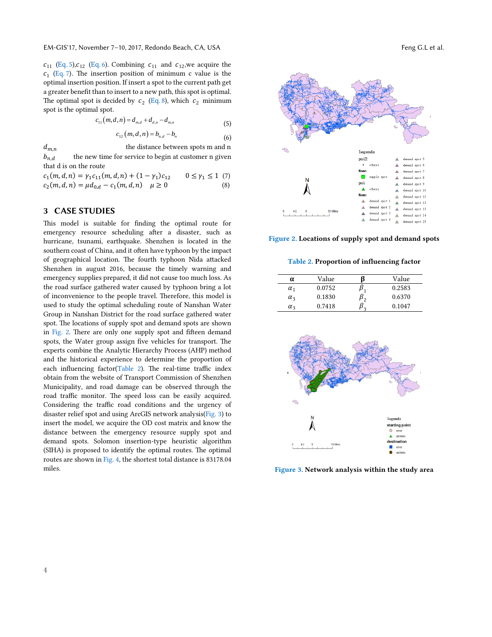EM-GIS'17, November 7-10, 2017, Redondo Beach, CA, USA Feng G.L et al.

 $c_{11}$  ([Eq](#page-3-1). 5),  $c_{12}$  (Eq. 6). Combining  $c_{11}$  and  $c_{12}$ , we acquire the  $c_1$  [\(Eq.](#page-3-2) 7). The insertion position of minimum c value is the optimal insertion position. If insert a spot to the current path get a greater benefit than to insert to a new path, this spot is optimal. The optimal spot is decided by  $c_2$  ([Eq](#page-3-3). 8), which  $c_2$  minimum spot is the optimal spot.

$$
c_{11}(m,d,n) = d_{m,d} + d_{d,n} - d_{m,n} \tag{5}
$$

$$
c_{12}(m,d,n) = b_{n,d} - b_n \tag{6}
$$

 $d_{m,n}$  the distance between spots m and n  $b_{n,d}$  the new time for service to begin at customer n given that d is on the route

| $c_1(m, d, n) = \gamma_1 c_{11}(m, d, n) + (1 - \gamma_1) c_{12}$ | $0 \leq \gamma_1 \leq 1$ (7) |     |
|-------------------------------------------------------------------|------------------------------|-----|
| $c_2(m, d, n) = \mu d_{0,d} - c_1(m, d, n)$ $\mu \ge 0$           |                              | (8) |

### 3 CASE STUDIES

This model is suitable for finding the optimal route for emergency resource scheduling after a disaster, such as hurricane, tsunami, earthquake. Shenzhen is located in the southern coast of China, and it often have typhoon by the impact of geographical location. The fourth typhoon Nida attacked Shenzhen in august 2016, because the timely warning and emergency supplies prepared, it did not cause too much loss. As the road surface gathered water caused by typhoon bring a lot of inconvenience to the people travel. Therefore, this model is used to study the optimal scheduling route of Nanshan Water Group in Nanshan District for the road surface gathered water spot. The locations of supply spot and demand spots are shown in [Fig.](#page-3-4) 2. There are only one supply spot and fifteen demand spots, the Water group assign five vehicles for transport. The experts combine the Analytic Hierarchy Process (AHP) method and the historical experience to determine the proportion of each influencing factor([Table 2](#page-3-5)). The real-time traffic index obtain from the website of Transport Commission of Shenzhen Municipality, and road damage can be observed through the road traffic monitor. The speed loss can be easily acquired. Considering the traffic road conditions and the urgency of disaster relief spot and using ArcGIS network analysis([Fig. 3](#page-3-6)) to insert the model, we acquire the OD cost matrix and know the distance between the emergency resource supply spot and demand spots. Solomon insertion-type heuristic algorithm (SIHA) is proposed to identify the optimal routes. The optimal routes are shown in [Fig. 4](#page-4-6), the shortest total distance is 83178.04 miles.



<span id="page-3-1"></span><span id="page-3-0"></span>

<span id="page-3-4"></span><span id="page-3-3"></span><span id="page-3-2"></span>Figure 2. Locations of supply spot and demand spots

#### <span id="page-3-5"></span>Table 2. Proportion of influencing factor



<span id="page-3-6"></span>Figure 3. Network analysis within the study area